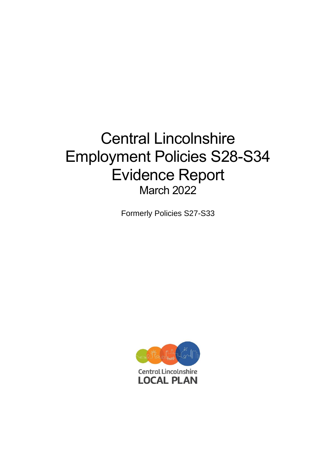# Central Lincolnshire Employment Policies S28-S34 Evidence Report March 2022

Formerly Policies S27-S33

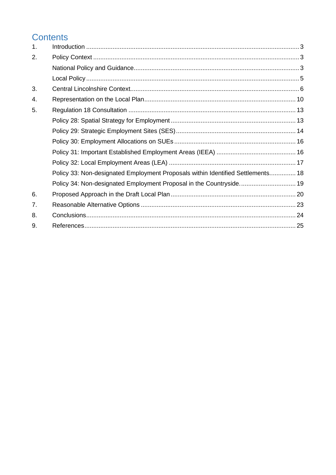# Contents

| 1. |                                                                                 |  |
|----|---------------------------------------------------------------------------------|--|
| 2. |                                                                                 |  |
|    |                                                                                 |  |
|    |                                                                                 |  |
| 3. |                                                                                 |  |
| 4. |                                                                                 |  |
| 5. |                                                                                 |  |
|    |                                                                                 |  |
|    |                                                                                 |  |
|    |                                                                                 |  |
|    |                                                                                 |  |
|    |                                                                                 |  |
|    | Policy 33: Non-designated Employment Proposals within Identified Settlements 18 |  |
|    | Policy 34: Non-designated Employment Proposal in the Countryside 19             |  |
| 6. |                                                                                 |  |
| 7. |                                                                                 |  |
| 8. |                                                                                 |  |
| 9. |                                                                                 |  |
|    |                                                                                 |  |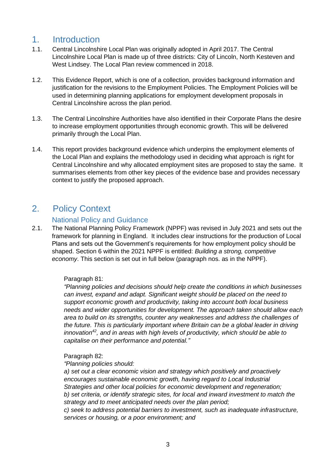# <span id="page-2-0"></span>1. Introduction

- 1.1. Central Lincolnshire Local Plan was originally adopted in April 2017. The Central Lincolnshire Local Plan is made up of three districts: City of Lincoln, North Kesteven and West Lindsey. The Local Plan review commenced in 2018.
- 1.2. This Evidence Report, which is one of a collection, provides background information and justification for the revisions to the Employment Policies. The Employment Policies will be used in determining planning applications for employment development proposals in Central Lincolnshire across the plan period.
- 1.3. The Central Lincolnshire Authorities have also identified in their Corporate Plans the desire to increase employment opportunities through economic growth. This will be delivered primarily through the Local Plan.
- 1.4. This report provides background evidence which underpins the employment elements of the Local Plan and explains the methodology used in deciding what approach is right for Central Lincolnshire and why allocated employment sites are proposed to stay the same. It summarises elements from other key pieces of the evidence base and provides necessary context to justify the proposed approach.

# <span id="page-2-1"></span>2. Policy Context

# National Policy and Guidance

<span id="page-2-2"></span>2.1. The National Planning Policy Framework (NPPF) was revised in July 2021 and sets out the framework for planning in England. It includes clear instructions for the production of Local Plans and sets out the Government's requirements for how employment policy should be shaped. Section 6 within the 2021 NPPF is entitled: *Building a strong, competitive economy*. This section is set out in full below (paragraph nos. as in the NPPF).

### Paragraph 81:

*"Planning policies and decisions should help create the conditions in which businesses can invest, expand and adapt. Significant weight should be placed on the need to support economic growth and productivity, taking into account both local business needs and wider opportunities for development. The approach taken should allow each area to build on its strengths, counter any weaknesses and address the challenges of the future. This is particularly important where Britain can be a global leader in driving innovation<sup>42</sup>, and in areas with high levels of productivity, which should be able to capitalise on their performance and potential."*

### Paragraph 82:

*"Planning policies should:* 

*a) set out a clear economic vision and strategy which positively and proactively encourages sustainable economic growth, having regard to Local Industrial Strategies and other local policies for economic development and regeneration; b) set criteria, or identify strategic sites, for local and inward investment to match the strategy and to meet anticipated needs over the plan period;* 

*c) seek to address potential barriers to investment, such as inadequate infrastructure, services or housing, or a poor environment; and*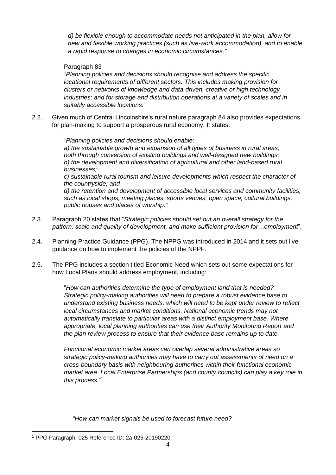*d) be flexible enough to accommodate needs not anticipated in the plan, allow for new and flexible working practices (such as live-work accommodation), and to enable a rapid response to changes in economic circumstances."*

### Paragraph 83

*"Planning policies and decisions should recognise and address the specific locational requirements of different sectors. This includes making provision for clusters or networks of knowledge and data-driven, creative or high technology industries; and for storage and distribution operations at a variety of scales and in suitably accessible locations."*

2.2. Given much of Central Lincolnshire's rural nature paragraph 84 also provides expectations for plan-making to support a prosperous rural economy. It states:

> *"Planning policies and decisions should enable: a) the sustainable growth and expansion of all types of business in rural areas, both through conversion of existing buildings and well-designed new buildings; b) the development and diversification of agricultural and other land-based rural businesses; c) sustainable rural tourism and leisure developments which respect the character of the countryside; and*

*d) the retention and development of accessible local services and community facilities, such as local shops, meeting places, sports venues, open space, cultural buildings, public houses and places of worship."*

- 2.3. Paragraph 20 states that "*Strategic policies should set out an overall strategy for the pattern, scale and quality of development, and make sufficient provision for…employment*".
- 2.4. Planning Practice Guidance (PPG). The NPPG was introduced in 2014 and it sets out live guidance on how to implement the policies of the NPPF.
- 2.5. The PPG includes a section titled Economic Need which sets out some expectations for how Local Plans should address employment, including:

"*How can authorities determine the type of employment land that is needed? Strategic policy-making authorities will need to prepare a robust evidence base to understand existing business needs, which will need to be kept under review to reflect local circumstances and market conditions. National economic trends may not automatically translate to particular areas with a distinct employment base. Where appropriate, local planning authorities can use their Authority Monitoring Report and the plan review process to ensure that their evidence base remains up to date.*

*Functional economic market areas can overlap several administrative areas so strategic policy-making authorities may have to carry out assessments of need on a cross-boundary basis with neighbouring authorities within their functional economic market area. Local Enterprise Partnerships (and county councils) can play a key role in this process.*" 1

*"How can market signals be used to forecast future need?*

<sup>1</sup> PPG Paragraph: 025 Reference ID: 2a-025-20190220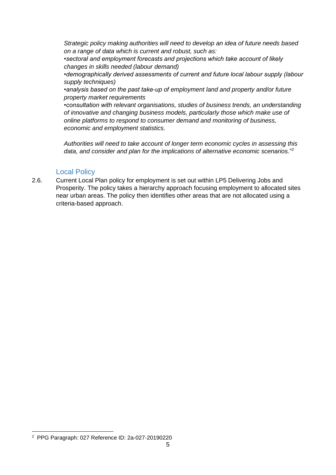*Strategic policy making authorities will need to develop an idea of future needs based on a range of data which is current and robust, such as:*

*•sectoral and employment forecasts and projections which take account of likely changes in skills needed (labour demand)*

*•demographically derived assessments of current and future local labour supply (labour supply techniques)*

*•analysis based on the past take-up of employment land and property and/or future property market requirements*

*•consultation with relevant organisations, studies of business trends, an understanding of innovative and changing business models, particularly those which make use of online platforms to respond to consumer demand and monitoring of business, economic and employment statistics.*

*Authorities will need to take account of longer term economic cycles in assessing this data, and consider and plan for the implications of alternative economic scenarios.*" *2*

### Local Policy

<span id="page-4-0"></span>2.6. Current Local Plan policy for employment is set out within LP5 Delivering Jobs and Prosperity. The policy takes a hierarchy approach focusing employment to allocated sites near urban areas. The policy then identifies other areas that are not allocated using a criteria-based approach.

<sup>2</sup> PPG Paragraph: 027 Reference ID: 2a-027-20190220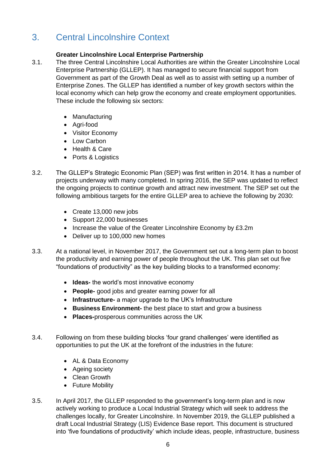# <span id="page-5-0"></span>3. Central Lincolnshire Context

## **Greater Lincolnshire Local Enterprise Partnership**

- 3.1. The three Central Lincolnshire Local Authorities are within the Greater Lincolnshire Local Enterprise Partnership (GLLEP). It has managed to secure financial support from Government as part of the Growth Deal as well as to assist with setting up a number of Enterprise Zones. The GLLEP has identified a number of key growth sectors within the local economy which can help grow the economy and create employment opportunities. These include the following six sectors:
	- Manufacturing
	- Agri-food
	- Visitor Economy
	- Low Carbon
	- Health & Care
	- Ports & Logistics
- 3.2. The GLLEP's Strategic Economic Plan (SEP) was first written in 2014. It has a number of projects underway with many completed. In spring 2016, the SEP was updated to reflect the ongoing projects to continue growth and attract new investment. The SEP set out the following ambitious targets for the entire GLLEP area to achieve the following by 2030:
	- Create 13,000 new jobs
	- Support 22,000 businesses
	- Increase the value of the Greater Lincolnshire Economy by £3.2m
	- Deliver up to 100,000 new homes
- 3.3. At a national level, in November 2017, the Government set out a long-term plan to boost the productivity and earning power of people throughout the UK. This plan set out five "foundations of productivity" as the key building blocks to a transformed economy:
	- **Ideas-** the world's most innovative economy
	- **People-** good jobs and greater earning power for all
	- **Infrastructure-** a major upgrade to the UK's Infrastructure
	- **Business Environment-** the best place to start and grow a business
	- **Places-**prosperous communities across the UK
- 3.4. Following on from these building blocks 'four grand challenges' were identified as opportunities to put the UK at the forefront of the industries in the future:
	- AL & Data Economy
	- Ageing society
	- Clean Growth
	- Future Mobility
- 3.5. In April 2017, the GLLEP responded to the government's long-term plan and is now actively working to produce a Local Industrial Strategy which will seek to address the challenges locally, for Greater Lincolnshire. In November 2019, the GLLEP published a draft Local Industrial Strategy (LIS) Evidence Base report. This document is structured into 'five foundations of productivity' which include ideas, people, infrastructure, business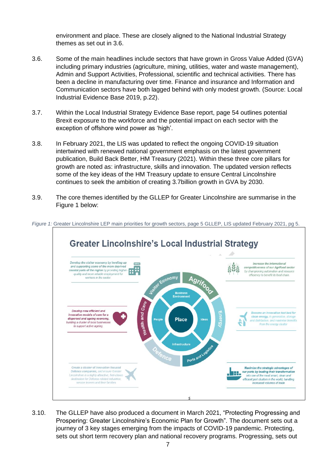environment and place. These are closely aligned to the National Industrial Strategy themes as set out in 3.6.

- 3.6. Some of the main headlines include sectors that have grown in Gross Value Added (GVA) including primary industries (agriculture, mining, utilities, water and waste management), Admin and Support Activities, Professional, scientific and technical activities. There has been a decline in manufacturing over time. Finance and insurance and Information and Communication sectors have both lagged behind with only modest growth. (Source: Local Industrial Evidence Base 2019, p.22).
- 3.7. Within the Local Industrial Strategy Evidence Base report, page 54 outlines potential Brexit exposure to the workforce and the potential impact on each sector with the exception of offshore wind power as 'high'.
- 3.8. In February 2021, the LIS was updated to reflect the ongoing COVID-19 situation intertwined with renewed national government emphasis on the latest government publication, Build Back Better, HM Treasury (2021). Within these three core pillars for growth are noted as: infrastructure, skills and innovation. The updated version reflects some of the key ideas of the HM Treasury update to ensure Central Lincolnshire continues to seek the ambition of creating 3.7billion growth in GVA by 2030.
- 3.9. The core themes identified by the GLLEP for Greater Lincolnshire are summarise in the Figure 1 below:



*Figure 1:* Greater Lincolnshire LEP main priorities for growth sectors, page 5 GLLEP, LIS updated February 2021, pg 5.

3.10. The GLLEP have also produced a document in March 2021, "Protecting Progressing and Prospering: Greater Lincolnshire's Economic Plan for Growth". The document sets out a journey of 3 key stages emerging from the impacts of COVID-19 pandemic. Protecting, sets out short term recovery plan and national recovery programs. Progressing, sets out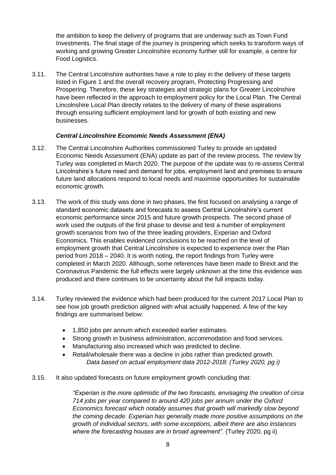the ambition to keep the delivery of programs that are underway such as Town Fund Investments. The final stage of the journey is prospering which seeks to transform ways of working and growing Greater Lincolnshire economy further still for example, a centre for Food Logistics.

3.11. The Central Lincolnshire authorities have a role to play in the delivery of these targets listed in Figure 1 and the overall recovery program, Protecting Progressing and Prospering. Therefore, these key strategies and strategic plans for Greater Lincolnshire have been reflected in the approach to employment policy for the Local Plan. The Central Lincolnshire Local Plan directly relates to the delivery of many of these aspirations through ensuring sufficient employment land for growth of both existing and new businesses.

#### *Central Lincolnshire Economic Needs Assessment (ENA)*

- 3.12. The Central Lincolnshire Authorities commissioned Turley to provide an updated Economic Needs Assessment (ENA) update as part of the review process. The review by Turley was completed in March 2020. The purpose of the update was to re-assess Central Lincolnshire's future need and demand for jobs, employment land and premises to ensure future land allocations respond to local needs and maximise opportunities for sustainable economic growth.
- 3.13. The work of this study was done in two phases, the first focused on analysing a range of standard economic datasets and forecasts to assess Central Lincolnshire's current economic performance since 2015 and future growth prospects. The second phase of work used the outputs of the first phase to devise and test a number of employment growth scenarios from two of the three leading providers, Experian and Oxford Economics. This enables evidenced conclusions to be reached on the level of employment growth that Central Lincolnshire is expected to experience over the Plan period from 2018 – 2040. It is worth noting, the report findings from Turley were completed in March 2020. Although, some references have been made to Brexit and the Coronavirus Pandemic the full effects were largely unknown at the time this evidence was produced and there continues to be uncertainty about the full impacts today.
- 3.14. Turley reviewed the evidence which had been produced for the current 2017 Local Plan to see how job growth prediction aligned with what actually happened. A few of the key findings are summarised below:
	- 1,850 jobs per annum which exceeded earlier estimates.
	- Strong growth in business administration, accommodation and food services.
	- Manufacturing also increased which was predicted to decline.
	- Retail/wholesale there was a decline in jobs rather than predicted growth. *Data based on actual employment data 2012-2018: (Turley 2020, pg i)*
- 3.15. It also updated forecasts on future employment growth concluding that:

*"Experian is the more optimistic of the two forecasts, envisaging the creation of circa 714 jobs per year compared to around 420 jobs per annum under the Oxford Economics forecast which notably assumes that growth will markedly slow beyond the coming decade. Experian has generally made more positive assumptions on the growth of individual sectors, with some exceptions, albeit there are also instances where the forecasting houses are in broad agreement".* (Turley 2020, pg ii)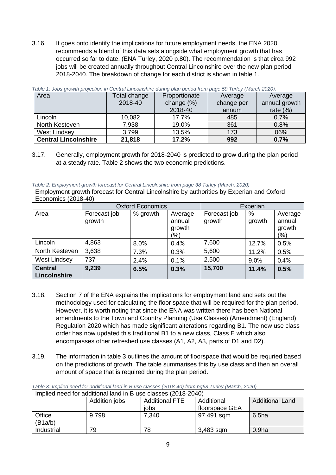3.16. It goes onto identify the implications for future employment needs, the ENA 2020 recommends a blend of this data sets alongside what employment growth that has occurred so far to date. (ENA Turley, 2020 p.80). The recommendation is that circa 992 jobs will be created annually throughout Central Lincolnshire over the new plan period 2018-2040. The breakdown of change for each district is shown in table 1.

| Area                        | Total change | Proportionate | Average    | Average       |
|-----------------------------|--------------|---------------|------------|---------------|
|                             | 2018-40      | change $(\%)$ | change per | annual growth |
|                             |              | 2018-40       | annum      | rate $(\%)$   |
| Lincoln                     | 10,082       | 17.7%         | 485        | 0.7%          |
| North Kesteven              | 7,938        | 19.0%         | 361        | 0.8%          |
| <b>West Lindsey</b>         | 3,799        | 13.5%         | 173        | 06%           |
| <b>Central Lincolnshire</b> | 21,818       | 17.2%         | 992        | 0.7%          |

*Table 1: Jobs growth projection in Central Lincolnshire during plan period from page 59 Turley (March 2020).* 

3.17. Generally, employment growth for 2018-2040 is predicted to grow during the plan period at a steady rate. Table 2 shows the two economic predictions.

*Table 2: Employment growth forecast for Central Lincolnshire from page 38 Turley (March, 2020)*

| Employment growth forecast for Central Lincolnshire by authorities by Experian and Oxford |                         |          |                                    |                        |             |                                    |
|-------------------------------------------------------------------------------------------|-------------------------|----------|------------------------------------|------------------------|-------------|------------------------------------|
| Economics (2018-40)                                                                       |                         |          |                                    |                        |             |                                    |
|                                                                                           | <b>Oxford Economics</b> |          |                                    | Experian               |             |                                    |
| Area                                                                                      | Forecast job<br>growth  | % growth | Average<br>annual<br>growth<br>'%) | Forecast job<br>growth | %<br>growth | Average<br>annual<br>growth<br>(%) |
| Lincoln                                                                                   | 4,863                   | 8.0%     | 0.4%                               | 7,600                  | 12.7%       | 0.5%                               |
| North Kesteven                                                                            | 3,638                   | 7.3%     | 0.3%                               | 5,600                  | 11.2%       | 0.5%                               |
| West Lindsey                                                                              | 737                     | 2.4%     | 0.1%                               | 2,500                  | 9.0%        | 0.4%                               |
| <b>Central</b><br>Lincolnshire                                                            | 9,239                   | 6.5%     | 0.3%                               | 15,700                 | 11.4%       | 0.5%                               |

- 3.18. Section 7 of the ENA explains the implications for employment land and sets out the methodology used for calculating the floor space that will be required for the plan period. However, it is worth noting that since the ENA was written there has been National amendments to the Town and Country Planning (Use Classes) (Amendment) (England) Regulation 2020 which has made significant alterations regarding B1. The new use class order has now updated this traditional B1 to a new class, Class E which also encompasses other refreshed use classes (A1, A2, A3, parts of D1 and D2).
- 3.19. The information in table 3 outlines the amount of floorspace that would be requried based on the predictions of growth. The table summarises this by use class and then an overall amount of space that is required during the plan period.

| Implied need for additional land in B use classes (2018-2040) |               |                       |                |                        |
|---------------------------------------------------------------|---------------|-----------------------|----------------|------------------------|
|                                                               | Addition jobs | <b>Additional FTE</b> | Additional     | <b>Additional Land</b> |
|                                                               |               | jobs                  | floorspace GEA |                        |
| Office                                                        | 9,798         | 7,340                 | 97,491 sqm     | 6.5ha                  |
| (B1a/b)                                                       |               |                       |                |                        |
| Industrial                                                    | 79            | 78                    | 3,483 sqm      | 0.9 <sub>ha</sub>      |

*Table 3: Implied need for additional land in B use classes (2018-40) from pg68 Turley (March, 2020)*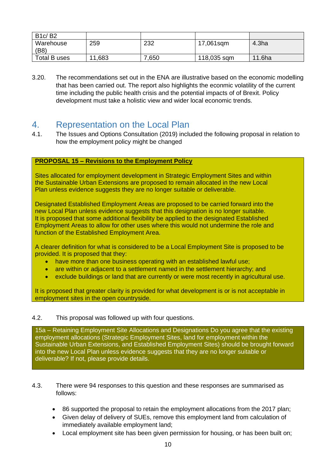| <b>B1c/B2</b>     |        |       |             |                   |
|-------------------|--------|-------|-------------|-------------------|
| Warehouse<br>(B8) | 259    | 232   | 17,061sqm   | 4.3 <sub>ha</sub> |
| Total B uses      | 11,683 | 7,650 | 118,035 sqm | 11.6ha            |

3.20. The recommendations set out in the ENA are illustrative based on the economic modelling that has been carried out. The report also highlights the econmic volatility of the current time including the public health crisis and the potential impacts of of Brexit. Policy development must take a holistic view and wider local economic trends.

# <span id="page-9-0"></span>4. Representation on the Local Plan

4.1. The Issues and Options Consultation (2019) included the following proposal in relation to how the employment policy might be changed

### **PROPOSAL 15 – Revisions to the Employment Policy**

Sites allocated for employment development in Strategic Employment Sites and within the Sustainable Urban Extensions are proposed to remain allocated in the new Local Plan unless evidence suggests they are no longer suitable or deliverable.

Designated Established Employment Areas are proposed to be carried forward into the new Local Plan unless evidence suggests that this designation is no longer suitable. It is proposed that some additional flexibility be applied to the designated Established Employment Areas to allow for other uses where this would not undermine the role and function of the Established Employment Area.

A clearer definition for what is considered to be a Local Employment Site is proposed to be provided. It is proposed that they:

- have more than one business operating with an established lawful use;
- are within or adjacent to a settlement named in the settlement hierarchy; and
- exclude buildings or land that are currently or were most recently in agricultural use.

It is proposed that greater clarity is provided for what development is or is not acceptable in employment sites in the open countryside.

#### 4.2. This proposal was followed up with four questions.

15a – Retaining Employment Site Allocations and Designations Do you agree that the existing employment allocations (Strategic Employment Sites, land for employment within the Sustainable Urban Extensions, and Established Employment Sites) should be brought forward into the new Local Plan unless evidence suggests that they are no longer suitable or deliverable? If not, please provide details.

- 4.3. There were 94 responses to this question and these responses are summarised as follows:
	- 86 supported the proposal to retain the employment allocations from the 2017 plan;
	- Given delay of delivery of SUEs, remove this employment land from calculation of immediately available employment land;
	- Local employment site has been given permission for housing, or has been built on;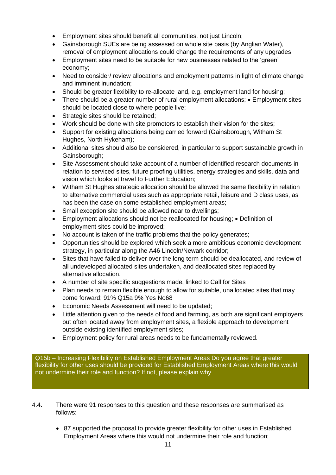- Employment sites should benefit all communities, not just Lincoln:
- Gainsborough SUEs are being assessed on whole site basis (by Anglian Water), removal of employment allocations could change the requirements of any upgrades;
- Employment sites need to be suitable for new businesses related to the 'green' economy;
- Need to consider/ review allocations and employment patterns in light of climate change and imminent inundation;
- Should be greater flexibility to re-allocate land, e.g. employment land for housing;
- There should be a greater number of rural employment allocations; Employment sites should be located close to where people live;
- Strategic sites should be retained;
- Work should be done with site promotors to establish their vision for the sites;
- Support for existing allocations being carried forward (Gainsborough, Witham St Hughes, North Hykeham);
- Additional sites should also be considered, in particular to support sustainable growth in Gainsborough;
- Site Assessment should take account of a number of identified research documents in relation to serviced sites, future proofing utilities, energy strategies and skills, data and vision which looks at travel to Further Education;
- Witham St Hughes strategic allocation should be allowed the same flexibility in relation to alternative commercial uses such as appropriate retail, leisure and D class uses, as has been the case on some established employment areas;
- Small exception site should be allowed near to dwellings;
- Employment allocations should not be reallocated for housing; Definition of employment sites could be improved;
- No account is taken of the traffic problems that the policy generates;
- Opportunities should be explored which seek a more ambitious economic development strategy, in particular along the A46 Lincoln/Newark corridor;
- Sites that have failed to deliver over the long term should be deallocated, and review of all undeveloped allocated sites undertaken, and deallocated sites replaced by alternative allocation.
- A number of site specific suggestions made, linked to Call for Sites
- Plan needs to remain flexible enough to allow for suitable, unallocated sites that may come forward; 91% Q15a 9% Yes No68
- Economic Needs Assessment will need to be updated;
- Little attention given to the needs of food and farming, as both are significant employers but often located away from employment sites, a flexible approach to development outside existing identified employment sites;
- Employment policy for rural areas needs to be fundamentally reviewed.

Q15b – Increasing Flexibility on Established Employment Areas Do you agree that greater flexibility for other uses should be provided for Established Employment Areas where this would not undermine their role and function? If not, please explain why

- 4.4. There were 91 responses to this question and these responses are summarised as follows:
	- 87 supported the proposal to provide greater flexibility for other uses in Established Employment Areas where this would not undermine their role and function;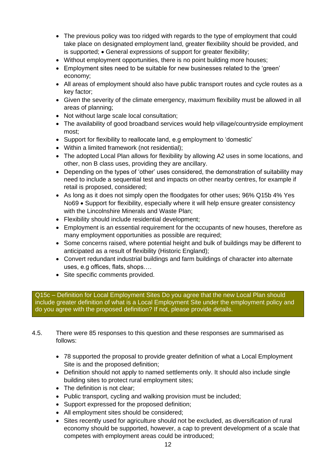- The previous policy was too ridged with regards to the type of employment that could take place on designated employment land, greater flexibility should be provided, and is supported; • General expressions of support for greater flexibility;
- Without employment opportunities, there is no point building more houses;
- Employment sites need to be suitable for new businesses related to the 'green' economy;
- All areas of employment should also have public transport routes and cycle routes as a key factor;
- Given the severity of the climate emergency, maximum flexibility must be allowed in all areas of planning;
- Not without large scale local consultation;
- The availability of good broadband services would help village/countryside employment most;
- Support for flexibility to reallocate land, e.g employment to 'domestic'
- Within a limited framework (not residential);
- The adopted Local Plan allows for flexibility by allowing A2 uses in some locations, and other, non B class uses, providing they are ancillary.
- Depending on the types of 'other' uses considered, the demonstration of suitability may need to include a sequential test and impacts on other nearby centres, for example if retail is proposed, considered;
- As long as it does not simply open the floodgates for other uses; 96% Q15b 4% Yes No69 • Support for flexibility, especially where it will help ensure greater consistency with the Lincolnshire Minerals and Waste Plan;
- Flexibility should include residential development;
- Employment is an essential requirement for the occupants of new houses, therefore as many employment opportunities as possible are required;
- Some concerns raised, where potential height and bulk of buildings may be different to anticipated as a result of flexibility (Historic England);
- Convert redundant industrial buildings and farm buildings of character into alternate uses, e.g offices, flats, shops….
- Site specific comments provided.

Q15c – Definition for Local Employment Sites Do you agree that the new Local Plan should include greater definition of what is a Local Employment Site under the employment policy and do you agree with the proposed definition? If not, please provide details.

4.5. There were 85 responses to this question and these responses are summarised as follows:

- 78 supported the proposal to provide greater definition of what a Local Employment Site is and the proposed definition;
- Definition should not apply to named settlements only. It should also include single building sites to protect rural employment sites;
- The definition is not clear;
- Public transport, cycling and walking provision must be included;
- Support expressed for the proposed definition;
- All employment sites should be considered;
- Sites recently used for agriculture should not be excluded, as diversification of rural economy should be supported, however, a cap to prevent development of a scale that competes with employment areas could be introduced;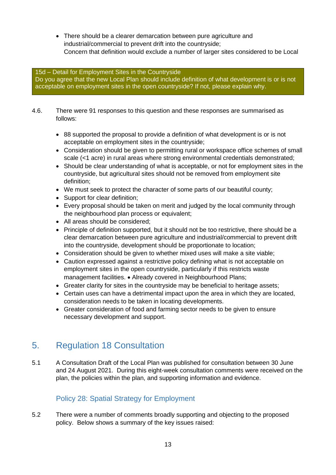• There should be a clearer demarcation between pure agriculture and industrial/commercial to prevent drift into the countryside; • Concern that definition would exclude a number of larger sites considered to be Local

#### 15d – Detail for Employment Sites in the Countryside Do you agree that the new Local Plan should include definition of what development is or is not acceptable on employment sites in the open countryside? If not, please explain why.

- 4.6. There were 91 responses to this question and these responses are summarised as follows:
	- 88 supported the proposal to provide a definition of what development is or is not acceptable on employment sites in the countryside;
	- Consideration should be given to permitting rural or workspace office schemes of small scale (<1 acre) in rural areas where strong environmental credentials demonstrated;
	- Should be clear understanding of what is acceptable, or not for employment sites in the countryside, but agricultural sites should not be removed from employment site definition;
	- We must seek to protect the character of some parts of our beautiful county;
	- Support for clear definition:
	- Every proposal should be taken on merit and judged by the local community through the neighbourhood plan process or equivalent:
	- All areas should be considered;
	- Principle of definition supported, but it should not be too restrictive, there should be a clear demarcation between pure agriculture and industrial/commercial to prevent drift into the countryside, development should be proportionate to location;
	- Consideration should be given to whether mixed uses will make a site viable;
	- Caution expressed against a restrictive policy defining what is not acceptable on employment sites in the open countryside, particularly if this restricts waste management facilities. • Already covered in Neighbourhood Plans;
	- Greater clarity for sites in the countryside may be beneficial to heritage assets;
	- Certain uses can have a detrimental impact upon the area in which they are located, consideration needs to be taken in locating developments.
	- Greater consideration of food and farming sector needs to be given to ensure necessary development and support.

# <span id="page-12-0"></span>5. Regulation 18 Consultation

5.1 A Consultation Draft of the Local Plan was published for consultation between 30 June and 24 August 2021. During this eight-week consultation comments were received on the plan, the policies within the plan, and supporting information and evidence.

# Policy 28: Spatial Strategy for Employment

<span id="page-12-1"></span>5.2 There were a number of comments broadly supporting and objecting to the proposed policy. Below shows a summary of the key issues raised: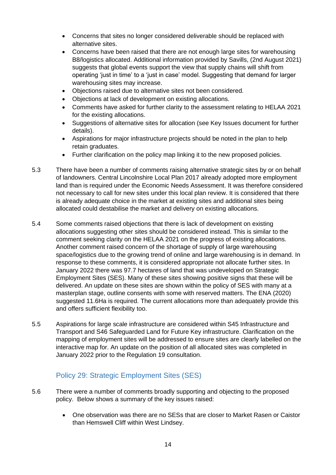- Concerns that sites no longer considered deliverable should be replaced with alternative sites.
- Concerns have been raised that there are not enough large sites for warehousing B8/logistics allocated. Additional information provided by Savills, (2nd August 2021) suggests that global events support the view that supply chains will shift from operating 'just in time' to a 'just in case' model. Suggesting that demand for larger warehousing sites may increase.
- Objections raised due to alternative sites not been considered.
- Objections at lack of development on existing allocations.
- Comments have asked for further clarity to the assessment relating to HELAA 2021 for the existing allocations.
- Suggestions of alternative sites for allocation (see Key Issues document for further details).
- Aspirations for major infrastructure projects should be noted in the plan to help retain graduates.
- Further clarification on the policy map linking it to the new proposed policies.
- 5.3 There have been a number of comments raising alternative strategic sites by or on behalf of landowners. Central Lincolnshire Local Plan 2017 already adopted more employment land than is required under the Economic Needs Assessment. It was therefore considered not necessary to call for new sites under this local plan review. It is considered that there is already adequate choice in the market at existing sites and additional sites being allocated could destabilise the market and delivery on existing allocations.
- 5.4 Some comments raised objections that there is lack of development on existing allocations suggesting other sites should be considered instead. This is similar to the comment seeking clarity on the HELAA 2021 on the progress of existing allocations. Another comment raised concern of the shortage of supply of large warehousing space/logistics due to the growing trend of online and large warehousing is in demand. In response to these comments, it is considered appropriate not allocate further sites. In January 2022 there was 97.7 hectares of land that was undeveloped on Strategic Employment Sites (SES). Many of these sites showing positive signs that these will be delivered. An update on these sites are shown within the policy of SES with many at a masterplan stage, outline consents with some with reserved matters. The ENA (2020) suggested 11.6Ha is required. The current allocations more than adequately provide this and offers sufficient flexibility too.
- 5.5 Aspirations for large scale infrastructure are considered within S45 Infrastructure and Transport and S46 Safeguarded Land for Future Key infrastructure. Clarification on the mapping of employment sites will be addressed to ensure sites are clearly labelled on the interactive map for. An update on the position of all allocated sites was completed in January 2022 prior to the Regulation 19 consultation.

# Policy 29: Strategic Employment Sites (SES)

- <span id="page-13-0"></span>5.6 There were a number of comments broadly supporting and objecting to the proposed policy. Below shows a summary of the key issues raised:
	- One observation was there are no SESs that are closer to Market Rasen or Caistor than Hemswell Cliff within West Lindsey.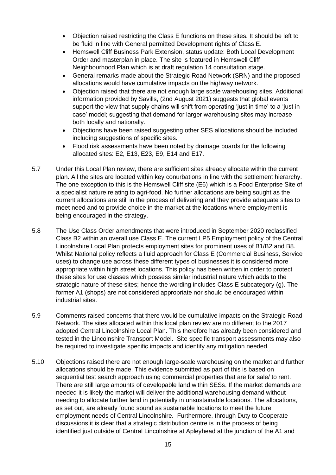- Objection raised restricting the Class E functions on these sites. It should be left to be fluid in line with General permitted Development rights of Class E.
- Hemswell Cliff Business Park Extension, status update: Both Local Development Order and masterplan in place. The site is featured in Hemswell Cliff Neighbourhood Plan which is at draft regulation 14 consultation stage.
- General remarks made about the Strategic Road Network (SRN) and the proposed allocations would have cumulative impacts on the highway network.
- Objection raised that there are not enough large scale warehousing sites. Additional information provided by Savills, (2nd August 2021) suggests that global events support the view that supply chains will shift from operating 'just in time' to a 'just in case' model; suggesting that demand for larger warehousing sites may increase both locally and nationally.
- Objections have been raised suggesting other SES allocations should be included including suggestions of specific sites.
- Flood risk assessments have been noted by drainage boards for the following allocated sites: E2, E13, E23, E9, E14 and E17.
- 5.7 Under this Local Plan review, there are sufficient sites already allocate within the current plan. All the sites are located within key conurbations in line with the settlement hierarchy. The one exception to this is the Hemswell Cliff site (E6) which is a Food Enterprise Site of a specialist nature relating to agri-food. No further allocations are being sought as the current allocations are still in the process of delivering and they provide adequate sites to meet need and to provide choice in the market at the locations where employment is being encouraged in the strategy.
- 5.8 The Use Class Order amendments that were introduced in September 2020 reclassified Class B2 within an overall use Class E. The current LP5 Employment policy of the Central Lincolnshire Local Plan protects employment sites for prominent uses of B1/B2 and B8. Whilst National policy reflects a fluid approach for Class E (Commercial Business, Service uses) to change use across these different types of businesses it is considered more appropriate within high street locations. This policy has been written in order to protect these sites for use classes which possess similar industrial nature which adds to the strategic nature of these sites; hence the wording includes Class E subcategory (g). The former A1 (shops) are not considered appropriate nor should be encouraged within industrial sites.
- 5.9 Comments raised concerns that there would be cumulative impacts on the Strategic Road Network. The sites allocated within this local plan review are no different to the 2017 adopted Central Lincolnshire Local Plan. This therefore has already been considered and tested in the Lincolnshire Transport Model. Site specific transport assessments may also be required to investigate specific impacts and identify any mitigation needed.
- 5.10 Objections raised there are not enough large-scale warehousing on the market and further allocations should be made. This evidence submitted as part of this is based on sequential test search approach using commercial properties that are for sale/ to rent. There are still large amounts of developable land within SESs. If the market demands are needed it is likely the market will deliver the additional warehousing demand without needing to allocate further land in potentially in unsustainable locations. The allocations, as set out, are already found sound as sustainable locations to meet the future employment needs of Central Lincolnshire. Furthermore, through Duty to Cooperate discussions it is clear that a strategic distribution centre is in the process of being identified just outside of Central Lincolnshire at Apleyhead at the junction of the A1 and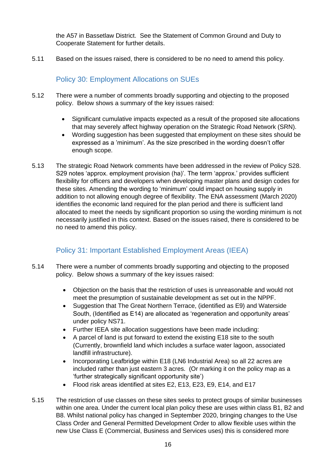the A57 in Bassetlaw District. See the Statement of Common Ground and Duty to Cooperate Statement for further details.

5.11 Based on the issues raised, there is considered to be no need to amend this policy.

# Policy 30: Employment Allocations on SUEs

- <span id="page-15-0"></span>5.12 There were a number of comments broadly supporting and objecting to the proposed policy. Below shows a summary of the key issues raised:
	- Significant cumulative impacts expected as a result of the proposed site allocations that may severely affect highway operation on the Strategic Road Network (SRN).
	- Wording suggestion has been suggested that employment on these sites should be expressed as a 'minimum'. As the size prescribed in the wording doesn't offer enough scope.
- 5.13 The strategic Road Network comments have been addressed in the review of Policy S28. S29 notes 'approx. employment provision (ha)'. The term 'approx.' provides sufficient flexibility for officers and developers when developing master plans and design codes for these sites. Amending the wording to 'minimum' could impact on housing supply in addition to not allowing enough degree of flexibility. The ENA assessment (March 2020) identifies the economic land required for the plan period and there is sufficient land allocated to meet the needs by significant proportion so using the wording minimum is not necessarily justified in this context. Based on the issues raised, there is considered to be no need to amend this policy.

# Policy 31: Important Established Employment Areas (IEEA)

- <span id="page-15-1"></span>5.14 There were a number of comments broadly supporting and objecting to the proposed policy. Below shows a summary of the key issues raised:
	- Objection on the basis that the restriction of uses is unreasonable and would not meet the presumption of sustainable development as set out in the NPPF.
	- Suggestion that The Great Northern Terrace, (identified as E9) and Waterside South, (Identified as E14) are allocated as 'regeneration and opportunity areas' under policy NS71.
	- Further IEEA site allocation suggestions have been made including:
	- A parcel of land is put forward to extend the existing E18 site to the south (Currently, brownfield land which includes a surface water lagoon, associated landfill infrastructure).
	- Incorporating Leafbridge within E18 (LN6 Industrial Area) so all 22 acres are included rather than just eastern 3 acres. (Or marking it on the policy map as a 'further strategically significant opportunity site')
	- Flood risk areas identified at sites E2, E13, E23, E9, E14, and E17
- 5.15 The restriction of use classes on these sites seeks to protect groups of similar businesses within one area. Under the current local plan policy these are uses within class B1, B2 and B8. Whilst national policy has changed in September 2020, bringing changes to the Use Class Order and General Permitted Development Order to allow flexible uses within the new Use Class E (Commercial, Business and Services uses) this is considered more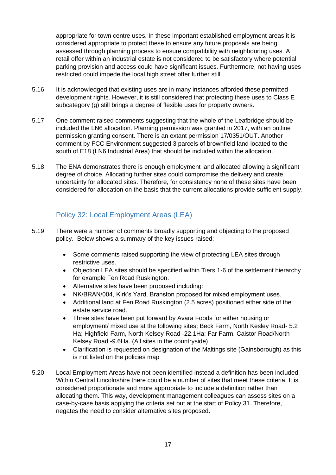appropriate for town centre uses. In these important established employment areas it is considered appropriate to protect these to ensure any future proposals are being assessed through planning process to ensure compatibility with neighbouring uses. A retail offer within an industrial estate is not considered to be satisfactory where potential parking provision and access could have significant issues. Furthermore, not having uses restricted could impede the local high street offer further still.

- 5.16 It is acknowledged that existing uses are in many instances afforded these permitted development rights. However, it is still considered that protecting these uses to Class E subcategory (g) still brings a degree of flexible uses for property owners.
- 5.17 One comment raised comments suggesting that the whole of the Leafbridge should be included the LN6 allocation. Planning permission was granted in 2017, with an outline permission granting consent. There is an extant permission 17/0351/OUT. Another comment by FCC Environment suggested 3 parcels of brownfield land located to the south of E18 (LN6 Industrial Area) that should be included within the allocation.
- 5.18 The ENA demonstrates there is enough employment land allocated allowing a significant degree of choice. Allocating further sites could compromise the delivery and create uncertainty for allocated sites. Therefore, for consistency none of these sites have been considered for allocation on the basis that the current allocations provide sufficient supply.

# Policy 32: Local Employment Areas (LEA)

- <span id="page-16-0"></span>5.19 There were a number of comments broadly supporting and objecting to the proposed policy. Below shows a summary of the key issues raised:
	- Some comments raised supporting the view of protecting LEA sites through restrictive uses.
	- Objection LEA sites should be specified within Tiers 1-6 of the settlement hierarchy for example Fen Road Ruskington.
	- Alternative sites have been proposed including:
	- NK/BRAN/004, Kirk's Yard, Branston proposed for mixed employment uses.
	- Additional land at Fen Road Ruskington (2.5 acres) positioned either side of the estate service road.
	- Three sites have been put forward by Avara Foods for either housing or employment/ mixed use at the following sites; Beck Farm, North Kesley Road- 5.2 Ha; Highfield Farm, North Kelsey Road -22.1Ha; Far Farm, Caistor Road/North Kelsey Road -9.6Ha. (All sites in the countryside)
	- Clarification is requested on designation of the Maltings site (Gainsborough) as this is not listed on the policies map
- 5.20 Local Employment Areas have not been identified instead a definition has been included. Within Central Lincolnshire there could be a number of sites that meet these criteria. It is considered proportionate and more appropriate to include a definition rather than allocating them. This way, development management colleagues can assess sites on a case-by-case basis applying the criteria set out at the start of Policy 31. Therefore, negates the need to consider alternative sites proposed.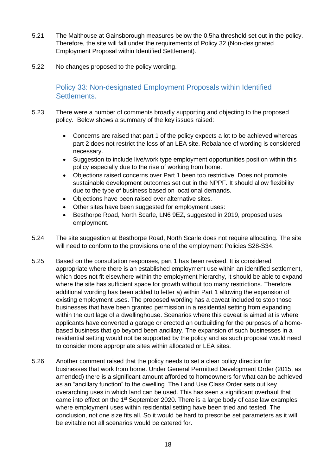- 5.21 The Malthouse at Gainsborough measures below the 0.5ha threshold set out in the policy. Therefore, the site will fall under the requirements of Policy 32 (Non-designated Employment Proposal within Identified Settlement).
- <span id="page-17-0"></span>5.22 No changes proposed to the policy wording.

Policy 33: Non-designated Employment Proposals within Identified Settlements.

- 5.23 There were a number of comments broadly supporting and objecting to the proposed policy. Below shows a summary of the key issues raised:
	- Concerns are raised that part 1 of the policy expects a lot to be achieved whereas part 2 does not restrict the loss of an LEA site. Rebalance of wording is considered necessary.
	- Suggestion to include live/work type employment opportunities position within this policy especially due to the rise of working from home.
	- Objections raised concerns over Part 1 been too restrictive. Does not promote sustainable development outcomes set out in the NPPF. It should allow flexibility due to the type of business based on locational demands.
	- Objections have been raised over alternative sites.
	- Other sites have been suggested for employment uses:
	- Besthorpe Road, North Scarle, LN6 9EZ, suggested in 2019, proposed uses employment.
- 5.24 The site suggestion at Besthorpe Road, North Scarle does not require allocating. The site will need to conform to the provisions one of the employment Policies S28-S34.
- 5.25 Based on the consultation responses, part 1 has been revised. It is considered appropriate where there is an established employment use within an identified settlement, which does not fit elsewhere within the employment hierarchy, it should be able to expand where the site has sufficient space for growth without too many restrictions. Therefore, additional wording has been added to letter a) within Part 1 allowing the expansion of existing employment uses. The proposed wording has a caveat included to stop those businesses that have been granted permission in a residential setting from expanding within the curtilage of a dwellinghouse. Scenarios where this caveat is aimed at is where applicants have converted a garage or erected an outbuilding for the purposes of a homebased business that go beyond been ancillary. The expansion of such businesses in a residential setting would not be supported by the policy and as such proposal would need to consider more appropriate sites within allocated or LEA sites.
- 5.26 Another comment raised that the policy needs to set a clear policy direction for businesses that work from home. Under General Permitted Development Order (2015, as amended) there is a significant amount afforded to homeowners for what can be achieved as an "ancillary function" to the dwelling. The Land Use Class Order sets out key overarching uses in which land can be used. This has seen a significant overhaul that came into effect on the  $1<sup>st</sup>$  September 2020. There is a large body of case law examples where employment uses within residential setting have been tried and tested. The conclusion, not one size fits all. So it would be hard to prescribe set parameters as it will be evitable not all scenarios would be catered for.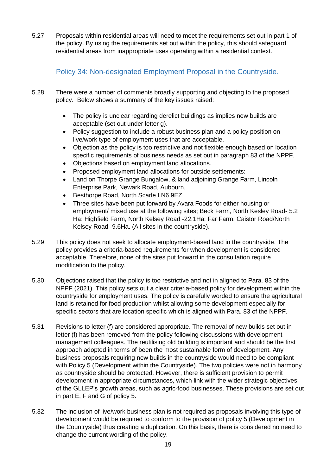5.27 Proposals within residential areas will need to meet the requirements set out in part 1 of the policy. By using the requirements set out within the policy, this should safeguard residential areas from inappropriate uses operating within a residential context.

Policy 34: Non-designated Employment Proposal in the Countryside.

- <span id="page-18-0"></span>5.28 There were a number of comments broadly supporting and objecting to the proposed policy. Below shows a summary of the key issues raised:
	- The policy is unclear regarding derelict buildings as implies new builds are acceptable (set out under letter g).
	- Policy suggestion to include a robust business plan and a policy position on live/work type of employment uses that are acceptable.
	- Objection as the policy is too restrictive and not flexible enough based on location specific requirements of business needs as set out in paragraph 83 of the NPPF.
	- Objections based on employment land allocations.
	- Proposed employment land allocations for outside settlements:
	- Land on Thorpe Grange Bungalow, & land adjoining Grange Farm, Lincoln Enterprise Park, Newark Road, Aubourn.
	- Besthorpe Road, North Scarle LN6 9EZ
	- Three sites have been put forward by Avara Foods for either housing or employment/ mixed use at the following sites; Beck Farm, North Kesley Road- 5.2 Ha; Highfield Farm, North Kelsey Road -22.1Ha; Far Farm, Caistor Road/North Kelsey Road -9.6Ha. (All sites in the countryside).
- 5.29 This policy does not seek to allocate employment-based land in the countryside. The policy provides a criteria-based requirements for when development is considered acceptable. Therefore, none of the sites put forward in the consultation require modification to the policy.
- 5.30 Objections raised that the policy is too restrictive and not in aligned to Para. 83 of the NPPF (2021). This policy sets out a clear criteria-based policy for development within the countryside for employment uses. The policy is carefully worded to ensure the agricultural land is retained for food production whilst allowing some development especially for specific sectors that are location specific which is aligned with Para. 83 of the NPPF.
- 5.31 Revisions to letter (f) are considered appropriate. The removal of new builds set out in letter (f) has been removed from the policy following discussions with development management colleagues. The reutilising old building is important and should be the first approach adopted in terms of been the most sustainable form of development. Any business proposals requiring new builds in the countryside would need to be compliant with Policy 5 (Development within the Countryside). The two policies were not in harmony as countryside should be protected. However, there is sufficient provision to permit development in appropriate circumstances, which link with the wider strategic objectives of the GLLEP's growth areas, such as agric-food businesses. These provisions are set out in part E, F and G of policy 5.
- 5.32 The inclusion of live/work business plan is not required as proposals involving this type of development would be required to conform to the provision of policy 5 (Development in the Countryside) thus creating a duplication. On this basis, there is considered no need to change the current wording of the policy.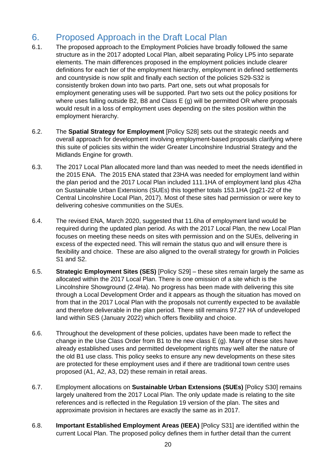# <span id="page-19-0"></span>6. Proposed Approach in the Draft Local Plan

- 6.1. The proposed approach to the Employment Policies have broadly followed the same structure as in the 2017 adopted Local Plan, albeit separating Policy LP5 into separate elements. The main differences proposed in the employment policies include clearer definitions for each tier of the employment hierarchy, employment in defined settlements and countryside is now split and finally each section of the policies S29-S32 is consistently broken down into two parts. Part one, sets out what proposals for employment generating uses will be supported. Part two sets out the policy positions for where uses falling outside B2, B8 and Class E (g) will be permitted OR where proposals would result in a loss of employment uses depending on the sites position within the employment hierarchy.
- 6.2. The **Spatial Strategy for Employment** [Policy S28] sets out the strategic needs and overall approach for development involving employment-based proposals clarifying where this suite of policies sits within the wider Greater Lincolnshire Industrial Strategy and the Midlands Engine for growth.
- 6.3. The 2017 Local Plan allocated more land than was needed to meet the needs identified in the 2015 ENA. The 2015 ENA stated that 23HA was needed for employment land within the plan period and the 2017 Local Plan included 111.1HA of employment land plus 42ha on Sustainable Urban Extensions (SUEs) this together totals 153.1HA (pg21-22 of the Central Lincolnshire Local Plan, 2017). Most of these sites had permission or were key to delivering cohesive communities on the SUEs.
- 6.4. The revised ENA, March 2020, suggested that 11.6ha of employment land would be required during the updated plan period. As with the 2017 Local Plan, the new Local Plan focuses on meeting these needs on sites with permission and on the SUEs, delivering in excess of the expected need. This will remain the status quo and will ensure there is flexibility and choice. These are also aligned to the overall strategy for growth in Policies S1 and S2.
- 6.5. **Strategic Employment Sites (SES)** [Policy S29] these sites remain largely the same as allocated within the 2017 Local Plan. There is one omission of a site which is the Lincolnshire Showground (2.4Ha). No progress has been made with delivering this site through a Local Development Order and it appears as though the situation has moved on from that in the 2017 Local Plan with the proposals not currently expected to be available and therefore deliverable in the plan period. There still remains 97.27 HA of undeveloped land within SES (January 2022) which offers flexibility and choice.
- 6.6. Throughout the development of these policies, updates have been made to reflect the change in the Use Class Order from B1 to the new class E (g). Many of these sites have already established uses and permitted development rights may well alter the nature of the old B1 use class. This policy seeks to ensure any new developments on these sites are protected for these employment uses and if there are traditional town centre uses proposed (A1, A2, A3, D2) these remain in retail areas.
- 6.7. Employment allocations on **Sustainable Urban Extensions (SUEs)** [Policy S30] remains largely unaltered from the 2017 Local Plan. The only update made is relating to the site references and is reflected in the Regulation 19 version of the plan. The sites and approximate provision in hectares are exactly the same as in 2017.
- 6.8. **Important Established Employment Areas (IEEA)** [Policy S31] are identified within the current Local Plan. The proposed policy defines them in further detail than the current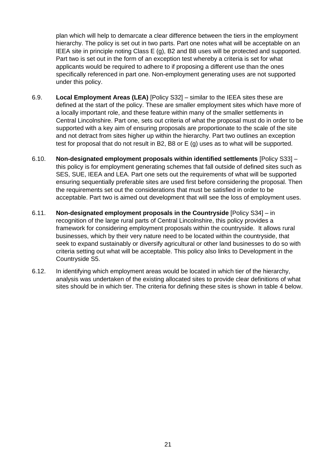plan which will help to demarcate a clear difference between the tiers in the employment hierarchy. The policy is set out in two parts. Part one notes what will be acceptable on an IEEA site in principle noting Class E (g), B2 and B8 uses will be protected and supported. Part two is set out in the form of an exception test whereby a criteria is set for what applicants would be required to adhere to if proposing a different use than the ones specifically referenced in part one. Non-employment generating uses are not supported under this policy.

- 6.9. **Local Employment Areas (LEA)** [Policy S32] similar to the IEEA sites these are defined at the start of the policy. These are smaller employment sites which have more of a locally important role, and these feature within many of the smaller settlements in Central Lincolnshire. Part one, sets out criteria of what the proposal must do in order to be supported with a key aim of ensuring proposals are proportionate to the scale of the site and not detract from sites higher up within the hierarchy. Part two outlines an exception test for proposal that do not result in B2, B8 or E (g) uses as to what will be supported.
- 6.10. **Non-designated employment proposals within identified settlements** [Policy S33] this policy is for employment generating schemes that fall outside of defined sites such as SES, SUE, IEEA and LEA. Part one sets out the requirements of what will be supported ensuring sequentially preferable sites are used first before considering the proposal. Then the requirements set out the considerations that must be satisfied in order to be acceptable. Part two is aimed out development that will see the loss of employment uses.
- 6.11. **Non-designated employment proposals in the Countryside** [Policy S34] in recognition of the large rural parts of Central Lincolnshire, this policy provides a framework for considering employment proposals within the countryside. It allows rural businesses, which by their very nature need to be located within the countryside, that seek to expand sustainably or diversify agricultural or other land businesses to do so with criteria setting out what will be acceptable. This policy also links to Development in the Countryside S5.
- 6.12. In identifying which employment areas would be located in which tier of the hierarchy, analysis was undertaken of the existing allocated sites to provide clear definitions of what sites should be in which tier. The criteria for defining these sites is shown in table 4 below.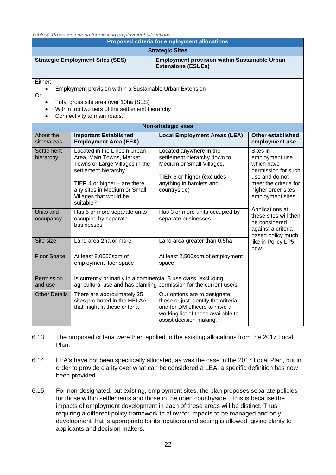*Table 4: Proposed criteria for existing employment allocations*

| <i>Lable 4: Proposed criteria for existing employment allocations</i><br><b>Proposed criteria for employment allocations</b>                                                                                                                   |                                                                                                                                                                                                                              |                                                                                                                                                                       |                                                                                                                                                       |  |  |
|------------------------------------------------------------------------------------------------------------------------------------------------------------------------------------------------------------------------------------------------|------------------------------------------------------------------------------------------------------------------------------------------------------------------------------------------------------------------------------|-----------------------------------------------------------------------------------------------------------------------------------------------------------------------|-------------------------------------------------------------------------------------------------------------------------------------------------------|--|--|
| <b>Strategic Sites</b>                                                                                                                                                                                                                         |                                                                                                                                                                                                                              |                                                                                                                                                                       |                                                                                                                                                       |  |  |
| <b>Strategic Employment Sites (SES)</b>                                                                                                                                                                                                        | <b>Employment provision within Sustainable Urban</b>                                                                                                                                                                         |                                                                                                                                                                       |                                                                                                                                                       |  |  |
| Either:<br>Employment provision within a Sustainable Urban Extension<br>$\bullet$<br>Or:<br>Total gross site area over 10ha (SES)<br>$\bullet$<br>Within top two tiers of the settlement hierarchy<br>Connectivity to main roads.<br>$\bullet$ |                                                                                                                                                                                                                              |                                                                                                                                                                       |                                                                                                                                                       |  |  |
|                                                                                                                                                                                                                                                |                                                                                                                                                                                                                              | <b>Non-strategic sites</b>                                                                                                                                            |                                                                                                                                                       |  |  |
| About the<br>sites/areas                                                                                                                                                                                                                       | <b>Important Established</b><br><b>Employment Area (EEA)</b>                                                                                                                                                                 | <b>Local Employment Areas (LEA)</b>                                                                                                                                   | <b>Other established</b><br>employment use                                                                                                            |  |  |
| <b>Settlement</b><br>hierarchy                                                                                                                                                                                                                 | Located in the Lincoln Urban<br>Area, Main Towns, Market<br>Towns or Large Villages in the<br>settlement hierarchy.<br>TIER 4 or higher $-$ are there<br>any sites in Medium or Small<br>Villages that would be<br>suitable? | Located anywhere in the<br>settlement hierarchy down to<br>Medium or Small Villages.<br>TIER 6 or higher (excludes<br>anything in hamlets and<br>countryside)         | Sites in<br>employment use<br>which have<br>permission for such<br>use and do not<br>meet the criteria for<br>higher order sites<br>employment sites. |  |  |
| Units and<br>occupancy                                                                                                                                                                                                                         | Has 5 or more separate units<br>occupied by separate<br>businesses                                                                                                                                                           | Has 3 or more units occupied by<br>separate businesses                                                                                                                | Applications at<br>these sites will then<br>be considered<br>against a criteria-<br>based policy much                                                 |  |  |
| Site size                                                                                                                                                                                                                                      | Land area 2ha or more                                                                                                                                                                                                        | Land area greater than 0.5ha                                                                                                                                          | like in Policy LP5<br>now.                                                                                                                            |  |  |
| <b>Floor Space</b>                                                                                                                                                                                                                             | At least 8,0000sqm of<br>employment floor space                                                                                                                                                                              | At least 2,500sqm of employment<br>space                                                                                                                              |                                                                                                                                                       |  |  |
| Permission<br>and use                                                                                                                                                                                                                          | Is currently primarily in a commercial B use class, excluding<br>agricultural use and has planning permission for the current use/s.                                                                                         |                                                                                                                                                                       |                                                                                                                                                       |  |  |
| <b>Other Details</b>                                                                                                                                                                                                                           | There are approximately 25<br>sites promoted in the HELAA<br>that might fit these criteria                                                                                                                                   | Our options are to designate<br>these or just identify the criteria<br>and for DM officers to have a<br>working list of these available to<br>assist decision making. |                                                                                                                                                       |  |  |

- 6.13. The proposed criteria were then applied to the existing allocations from the 2017 Local Plan.
- 6.14. LEA's have not been specifically allocated, as was the case in the 2017 Local Plan, but in order to provide clarity over what can be considered a LEA, a specific definition has now been provided.
- 6.15. For non-designated, but existing, employment sites, the plan proposes separate policies for those within settlements and those in the open countryside. This is because the impacts of employment development in each of these areas will be distinct. Thus, requiring a different policy framework to allow for impacts to be managed and only development that is appropriate for its locations and setting is allowed, giving clarity to applicants and decision makers.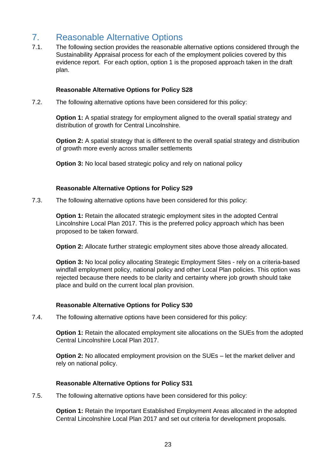# <span id="page-22-0"></span>7. Reasonable Alternative Options

7.1. The following section provides the reasonable alternative options considered through the Sustainability Appraisal process for each of the employment policies covered by this evidence report. For each option, option 1 is the proposed approach taken in the draft plan.

#### **Reasonable Alternative Options for Policy S28**

7.2. The following alternative options have been considered for this policy:

**Option 1:** A spatial strategy for employment aligned to the overall spatial strategy and distribution of growth for Central Lincolnshire.

**Option 2:** A spatial strategy that is different to the overall spatial strategy and distribution of growth more evenly across smaller settlements

**Option 3:** No local based strategic policy and rely on national policy

#### **Reasonable Alternative Options for Policy S29**

7.3. The following alternative options have been considered for this policy:

**Option 1:** Retain the allocated strategic employment sites in the adopted Central Lincolnshire Local Plan 2017. This is the preferred policy approach which has been proposed to be taken forward.

**Option 2:** Allocate further strategic employment sites above those already allocated.

**Option 3:** No local policy allocating Strategic Employment Sites - rely on a criteria-based windfall employment policy, national policy and other Local Plan policies. This option was rejected because there needs to be clarity and certainty where job growth should take place and build on the current local plan provision.

### **Reasonable Alternative Options for Policy S30**

7.4. The following alternative options have been considered for this policy:

**Option 1:** Retain the allocated employment site allocations on the SUEs from the adopted Central Lincolnshire Local Plan 2017.

**Option 2:** No allocated employment provision on the SUEs – let the market deliver and rely on national policy.

### **Reasonable Alternative Options for Policy S31**

7.5. The following alternative options have been considered for this policy:

**Option 1:** Retain the Important Established Employment Areas allocated in the adopted Central Lincolnshire Local Plan 2017 and set out criteria for development proposals.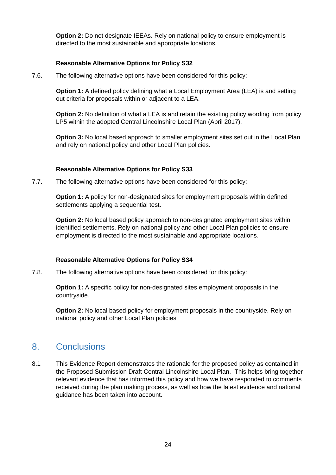**Option 2:** Do not designate IEEAs. Rely on national policy to ensure employment is directed to the most sustainable and appropriate locations.

### **Reasonable Alternative Options for Policy S32**

7.6. The following alternative options have been considered for this policy:

**Option 1:** A defined policy defining what a Local Employment Area (LEA) is and setting out criteria for proposals within or adjacent to a LEA.

**Option 2:** No definition of what a LEA is and retain the existing policy wording from policy LP5 within the adopted Central Lincolnshire Local Plan (April 2017).

**Option 3:** No local based approach to smaller employment sites set out in the Local Plan and rely on national policy and other Local Plan policies.

#### **Reasonable Alternative Options for Policy S33**

7.7. The following alternative options have been considered for this policy:

**Option 1:** A policy for non-designated sites for employment proposals within defined settlements applying a sequential test.

**Option 2:** No local based policy approach to non-designated employment sites within identified settlements. Rely on national policy and other Local Plan policies to ensure employment is directed to the most sustainable and appropriate locations.

#### **Reasonable Alternative Options for Policy S34**

7.8. The following alternative options have been considered for this policy:

**Option 1:** A specific policy for non-designated sites employment proposals in the countryside.

**Option 2:** No local based policy for employment proposals in the countryside. Rely on national policy and other Local Plan policies

# <span id="page-23-0"></span>8. Conclusions

8.1 This Evidence Report demonstrates the rationale for the proposed policy as contained in the Proposed Submission Draft Central Lincolnshire Local Plan. This helps bring together relevant evidence that has informed this policy and how we have responded to comments received during the plan making process, as well as how the latest evidence and national guidance has been taken into account.